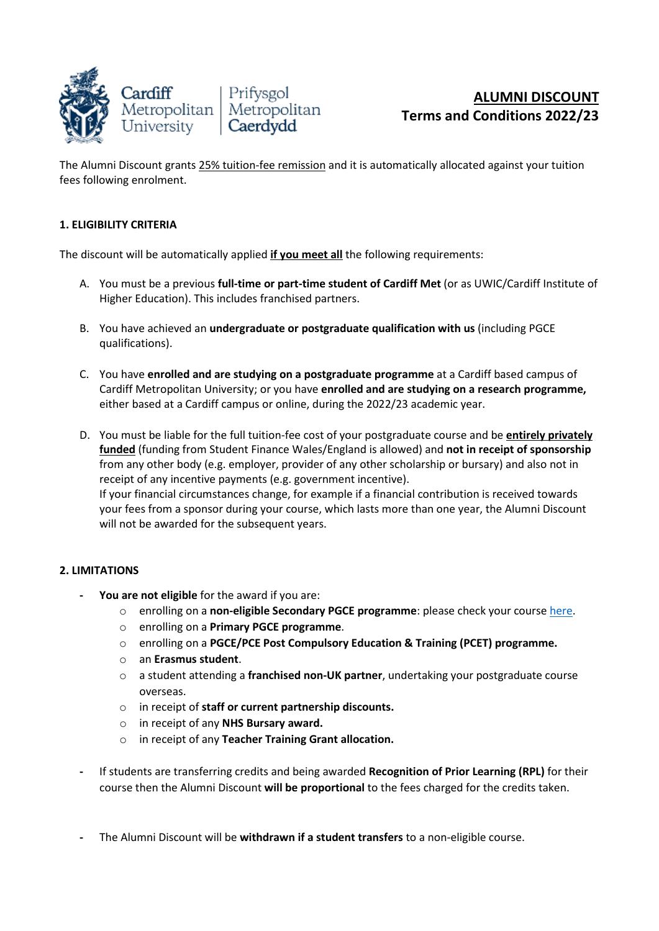

The Alumni Discount grants 25% tuition-fee remission and it is automatically allocated against your tuition fees following enrolment.

## **1. ELIGIBILITY CRITERIA**

The discount will be automatically applied **if you meet all** the following requirements:

- A. You must be a previous **full-time or part-time student of Cardiff Met** (or as UWIC/Cardiff Institute of Higher Education). This includes franchised partners.
- B. You have achieved an **undergraduate or postgraduate qualification with us** (including PGCE qualifications).
- C. You have **enrolled and are studying on a postgraduate programme** at a Cardiff based campus of Cardiff Metropolitan University; or you have **enrolled and are studying on a research programme,** either based at a Cardiff campus or online, during the 2022/23 academic year.
- D. You must be liable for the full tuition-fee cost of your postgraduate course and be **entirely privately funded** (funding from Student Finance Wales/England is allowed) and **not in receipt of sponsorship** from any other body (e.g. employer, provider of any other scholarship or bursary) and also not in receipt of any incentive payments (e.g. government incentive). If your financial circumstances change, for example if a financial contribution is received towards your fees from a sponsor during your course, which lasts more than one year, the Alumni Discount will not be awarded for the subsequent years.

## **2. LIMITATIONS**

- **- You are not eligible** for the award if you are:
	- o enrolling on a **non-eligible Secondary PGCE programme**: please check your cours[e here.](https://www.cardiffmet.ac.uk/education/courses/Pages/Secondary-PGCE.aspx)
	- o enrolling on a **Primary PGCE programme**.
	- o enrolling on a **PGCE/PCE Post Compulsory Education & Training (PCET) programme.**
	- o an **Erasmus student**.
	- o a student attending a **franchised non-UK partner**, undertaking your postgraduate course overseas.
	- o in receipt of **staff or current partnership discounts.**
	- o in receipt of any **NHS Bursary award.**
	- o in receipt of any **Teacher Training Grant allocation.**
- **-** If students are transferring credits and being awarded **Recognition of Prior Learning (RPL)** for their course then the Alumni Discount **will be proportional** to the fees charged for the credits taken.
- **-** The Alumni Discount will be **withdrawn if a student transfers** to a non-eligible course.